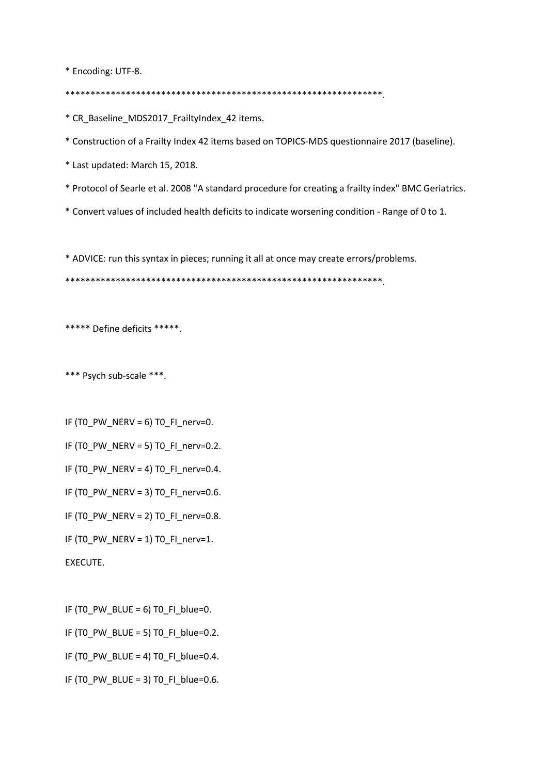\* Encoding: UTF-8.

\*\*\*\*\*\*\*\*\*\*\*\*\*\*\*\*\*\*\*\*\*\*\*\*\*\*\*\*\*\*\*\*\*\*\*\*\*\*\*\*\*\*\*\*\*\*\*\*\*\*\*\*\*\*\*\*\*\*\*\*\*\*\*.

\* CR\_Baseline\_MDS2017\_FrailtyIndex\_42 items.

\* Construction of a Frailty Index 42 items based on TOPICS-MDS questionnaire 2017 (baseline).

\* Last updated: March 15, 2018.

- \* Protocol of Searle et al. 2008 "A standard procedure for creating a frailty index" BMC Geriatrics.
- \* Convert values of included health deficits to indicate worsening condition Range of 0 to 1.

\* ADVICE: run this syntax in pieces; running it all at once may create errors/problems.

\*\*\*\*\*\*\*\*\*\*\*\*\*\*\*\*\*\*\*\*\*\*\*\*\*\*\*\*\*\*\*\*\*\*\*\*\*\*\*\*\*\*\*\*\*\*\*\*\*\*\*\*\*\*\*\*\*\*\*\*\*\*\*.

\*\*\*\*\* Define deficits \*\*\*\*\*.

\*\*\* Psych sub-scale \*\*\*.

IF  $(T0_PW_NERV = 6)$  TO\_FI\_nerv=0.

IF (TO\_PW\_NERV = 5) TO\_FI\_nerv=0.2.

IF (TO PW NERV = 4) TO FI\_nerv=0.4.

IF (TO PW NERV = 3) TO FI\_nerv=0.6.

IF (TO\_PW\_NERV = 2) TO\_FI\_nerv=0.8.

IF (TO PW NERV = 1) TO FI\_nerv=1.

EXECUTE.

IF (TO PW BLUE = 6) TO FI blue=0.

IF (TO PW\_BLUE = 5) TO FI\_blue=0.2.

IF (T0\_PW\_BLUE = 4) T0\_FI\_blue=0.4.

IF (TO PW\_BLUE = 3) TO FI\_blue=0.6.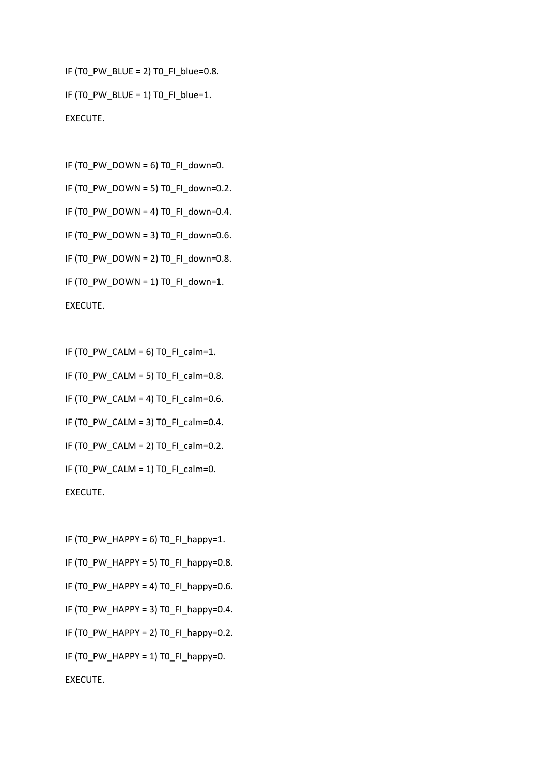IF (TO PW\_BLUE = 2) TO FI\_blue=0.8. IF (TO PW\_BLUE = 1) TO FI\_blue=1. EXECUTE.

IF  $(T0_PW_DOWN = 6)$  TO\_FI\_down=0. IF (TO PW\_DOWN = 5) TO FI\_down=0.2. IF (T0\_PW\_DOWN = 4) T0\_FI\_down=0.4. IF (T0\_PW\_DOWN = 3) T0\_FI\_down=0.6. IF (T0\_PW\_DOWN = 2) T0\_FI\_down=0.8. IF (T0\_PW\_DOWN = 1) T0\_FI\_down=1. EXECUTE.

IF  $(T0_PW_CALM = 6)$  TO  $F1_Calm = 1$ .

IF (T0\_PW\_CALM = 5) T0\_FI\_calm=0.8.

IF (TO\_PW\_CALM = 4) TO\_FI\_calm=0.6.

IF (T0\_PW\_CALM = 3) T0\_FI\_calm=0.4.

IF (TO\_PW\_CALM = 2) TO\_FI\_calm=0.2.

IF (TO PW CALM = 1) TO FI\_calm=0.

EXECUTE.

IF (TO PW HAPPY = 6) TO FI happy=1. IF (TO PW HAPPY = 5) TO FI happy=0.8. IF (T0\_PW\_HAPPY = 4) T0\_FI\_happy=0.6. IF (TO PW HAPPY = 3) TO FI happy=0.4. IF (TO PW HAPPY = 2) TO FI happy=0.2. IF (T0\_PW\_HAPPY = 1) T0\_FI\_happy=0. EXECUTE.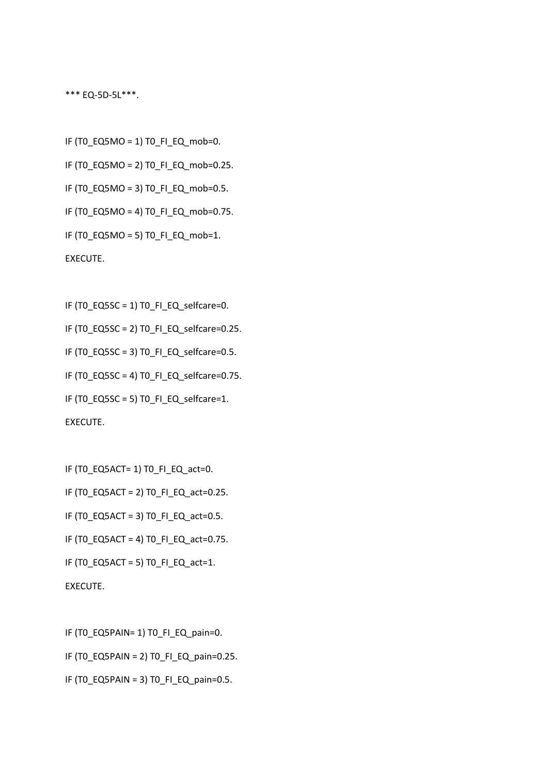\*\*\* EQ-5D-5L\*\*\*.

IF (T0\_EQ5MO = 1) T0\_FI\_EQ\_mob=0. IF (T0\_EQ5MO = 2) T0\_FI\_EQ\_mob=0.25. IF (T0\_EQ5MO = 3) T0\_FI\_EQ\_mob=0.5. IF (T0\_EQ5MO = 4) T0\_FI\_EQ\_mob=0.75. IF (T0\_EQ5MO = 5) T0\_FI\_EQ\_mob=1. EXECUTE.

IF (T0\_EQ5SC = 1) T0\_FI\_EQ\_selfcare=0. IF (T0\_EQ5SC = 2) T0\_FI\_EQ\_selfcare=0.25. IF (T0\_EQ5SC = 3) T0\_FI\_EQ\_selfcare=0.5. IF (T0\_EQ5SC = 4) T0\_FI\_EQ\_selfcare=0.75. IF (T0\_EQ5SC = 5) T0\_FI\_EQ\_selfcare=1. EXECUTE.

IF (TO EQ5ACT= 1) TO FI\_EQ\_act=0.

IF (T0\_EQ5ACT = 2) T0\_FI\_EQ\_act=0.25.

IF (T0\_EQ5ACT = 3) T0\_FI\_EQ\_act=0.5.

IF (TO\_EQ5ACT = 4) TO\_FI\_EQ\_act=0.75.

IF (TO\_EQ5ACT = 5) TO\_FI\_EQ\_act=1.

EXECUTE.

IF (T0\_EQ5PAIN= 1) T0\_FI\_EQ\_pain=0.

IF (T0\_EQ5PAIN = 2) T0\_FI\_EQ\_pain=0.25.

IF (TO EQ5PAIN = 3) TO FI\_EQ\_pain=0.5.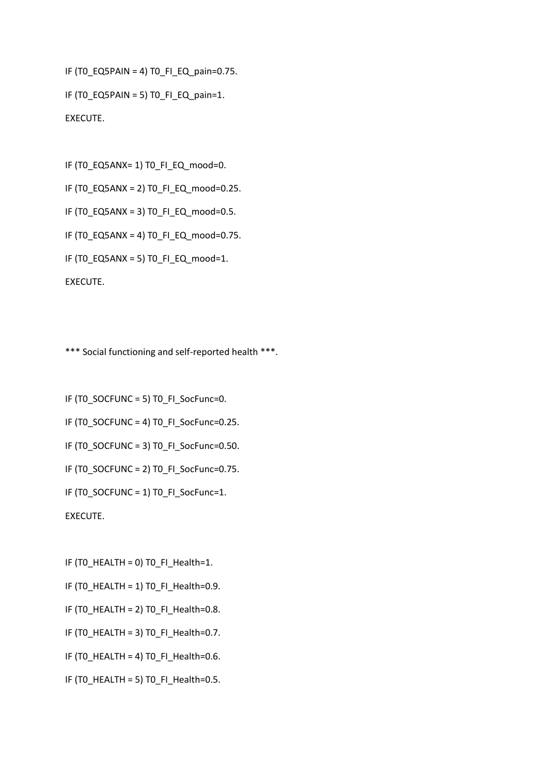```
IF (T0_EQ5PAIN = 4) T0_FI_EQ_pain=0.75.
```

```
IF (T0_EQ5PAIN = 5) T0_FI_EQ_pain=1.
EXECUTE.
```
IF (T0\_EQ5ANX= 1) T0\_FI\_EQ\_mood=0.

IF (T0\_EQ5ANX = 2) T0\_FI\_EQ\_mood=0.25.

IF (T0\_EQ5ANX = 3) T0\_FI\_EQ\_mood=0.5.

IF (T0\_EQ5ANX = 4) T0\_FI\_EQ\_mood=0.75.

IF (T0\_EQ5ANX = 5) T0\_FI\_EQ\_mood=1.

EXECUTE.

\*\*\* Social functioning and self-reported health \*\*\*.

IF (T0\_SOCFUNC = 5) T0\_FI\_SocFunc=0. IF (T0\_SOCFUNC = 4) T0\_FI\_SocFunc=0.25. IF (T0\_SOCFUNC = 3) T0\_FI\_SocFunc=0.50. IF (T0\_SOCFUNC = 2) T0\_FI\_SocFunc=0.75. IF (T0\_SOCFUNC = 1) T0\_FI\_SocFunc=1. EXECUTE.

IF (T0\_HEALTH = 0) T0\_FI\_Health=1.

- IF (T0\_HEALTH = 1) T0\_FI\_Health=0.9.
- IF (TO HEALTH = 2) TO FI\_Health=0.8.
- IF (T0\_HEALTH = 3) T0\_FI\_Health=0.7.
- IF (T0\_HEALTH = 4) T0\_FI\_Health=0.6.
- IF (TO HEALTH = 5) TO FI\_Health=0.5.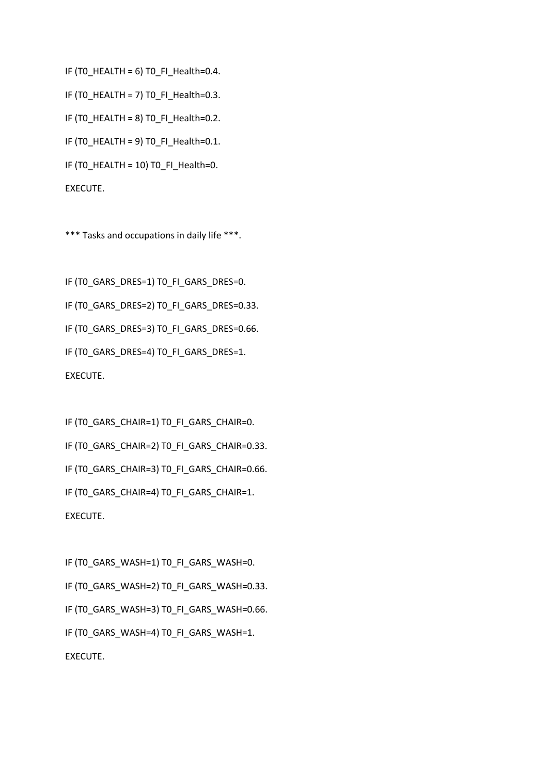IF (TO HEALTH = 6) TO FI\_Health=0.4.

IF (T0\_HEALTH = 7) T0\_FI\_Health=0.3.

IF (TO HEALTH = 8) TO FI\_Health=0.2.

IF (T0\_HEALTH = 9) T0\_FI\_Health=0.1.

IF (T0\_HEALTH = 10) T0\_FI\_Health=0.

EXECUTE.

\*\*\* Tasks and occupations in daily life \*\*\*.

IF (T0\_GARS\_DRES=1) T0\_FI\_GARS\_DRES=0.

IF (T0\_GARS\_DRES=2) T0\_FI\_GARS\_DRES=0.33.

IF (TO GARS DRES=3) TO FI GARS DRES=0.66.

IF (T0\_GARS\_DRES=4) T0\_FI\_GARS\_DRES=1. EXECUTE.

IF (T0\_GARS\_CHAIR=1) T0\_FI\_GARS\_CHAIR=0. IF (T0\_GARS\_CHAIR=2) T0\_FI\_GARS\_CHAIR=0.33. IF (T0\_GARS\_CHAIR=3) T0\_FI\_GARS\_CHAIR=0.66. IF (TO GARS CHAIR=4) TO FI GARS CHAIR=1. EXECUTE.

IF (T0\_GARS\_WASH=1) T0\_FI\_GARS\_WASH=0. IF (T0\_GARS\_WASH=2) T0\_FI\_GARS\_WASH=0.33. IF (TO GARS WASH=3) TO FI GARS WASH=0.66. IF (TO GARS WASH=4) TO FI GARS WASH=1. EXECUTE.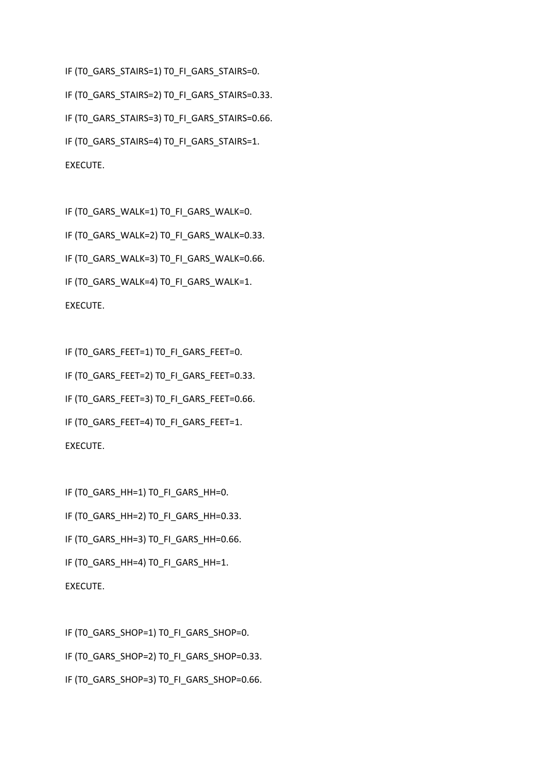IF (T0\_GARS\_STAIRS=1) T0\_FI\_GARS\_STAIRS=0. IF (T0\_GARS\_STAIRS=2) T0\_FI\_GARS\_STAIRS=0.33. IF (TO GARS STAIRS=3) TO FI GARS STAIRS=0.66. IF (TO GARS STAIRS=4) TO FI GARS STAIRS=1. EXECUTE.

IF (T0\_GARS\_WALK=1) T0\_FI\_GARS\_WALK=0. IF (T0\_GARS\_WALK=2) T0\_FI\_GARS\_WALK=0.33. IF (TO GARS WALK=3) TO FI GARS WALK=0.66. IF (TO GARS WALK=4) TO FI GARS WALK=1. EXECUTE.

IF (T0\_GARS\_FEET=1) T0\_FI\_GARS\_FEET=0. IF (T0\_GARS\_FEET=2) T0\_FI\_GARS\_FEET=0.33. IF (T0\_GARS\_FEET=3) T0\_FI\_GARS\_FEET=0.66. IF (T0\_GARS\_FEET=4) T0\_FI\_GARS\_FEET=1. EXECUTE.

IF (TO GARS HH=1) TO FI GARS HH=0. IF (T0\_GARS\_HH=2) T0\_FI\_GARS\_HH=0.33. IF (TO GARS HH=3) TO FI GARS HH=0.66. IF (TO GARS HH=4) TO FI GARS HH=1. EXECUTE.

IF (T0\_GARS\_SHOP=1) T0\_FI\_GARS\_SHOP=0. IF (T0\_GARS\_SHOP=2) T0\_FI\_GARS\_SHOP=0.33. IF (TO GARS SHOP=3) TO FI GARS SHOP=0.66.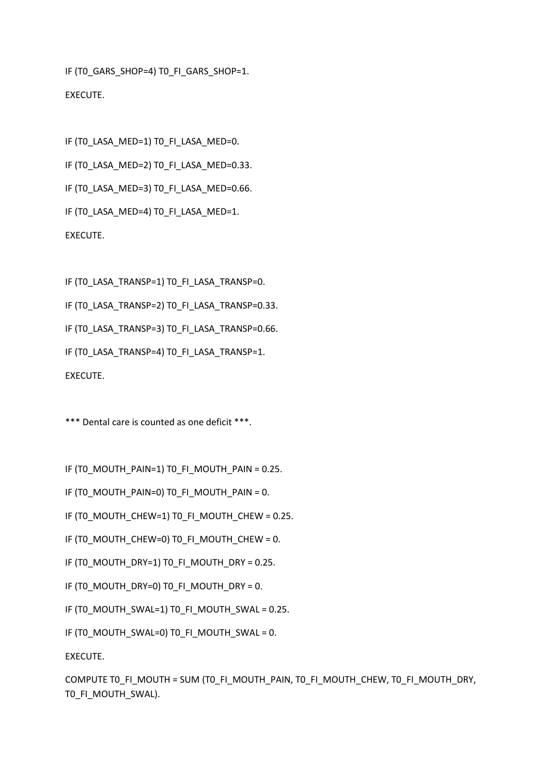IF (TO GARS SHOP=4) TO FI GARS SHOP=1. EXECUTE.

```
IF (TO LASA MED=1) TO FI LASA MED=0.
IF (TO LASA MED=2) TO FI LASA MED=0.33.
IF (TO LASA MED=3) TO FI LASA MED=0.66.
IF (T0_LASA_MED=4) T0_FI_LASA_MED=1.
EXECUTE.
```
IF (TO LASA TRANSP=1) TO FI LASA TRANSP=0.

IF (T0\_LASA\_TRANSP=2) T0\_FI\_LASA\_TRANSP=0.33.

IF (TO LASA TRANSP=3) TO FI LASA TRANSP=0.66.

IF (T0\_LASA\_TRANSP=4) T0\_FI\_LASA\_TRANSP=1.

EXECUTE.

\*\*\* Dental care is counted as one deficit \*\*\*.

IF (TO MOUTH\_PAIN=1) TO FI\_MOUTH\_PAIN = 0.25.

```
IF (TO MOUTH PAIN=0) TO FI_MOUTH_PAIN = 0.
```
IF (TO MOUTH CHEW=1) TO FI\_MOUTH\_CHEW = 0.25.

```
IF (TO MOUTH CHEW=0) TO FI_MOUTH_CHEW = 0.
```
IF (TO MOUTH DRY=1) TO FI\_MOUTH\_DRY = 0.25.

IF (TO MOUTH DRY=0) TO FI\_MOUTH\_DRY = 0.

IF (TO MOUTH\_SWAL=1) TO FI\_MOUTH\_SWAL = 0.25.

IF (TO MOUTH SWAL=0) TO FI\_MOUTH\_SWAL = 0.

EXECUTE.

COMPUTE TO FI\_MOUTH = SUM (TO\_FI\_MOUTH\_PAIN, TO\_FI\_MOUTH\_CHEW, T0\_FI\_MOUTH\_DRY, T0\_FI\_MOUTH\_SWAL).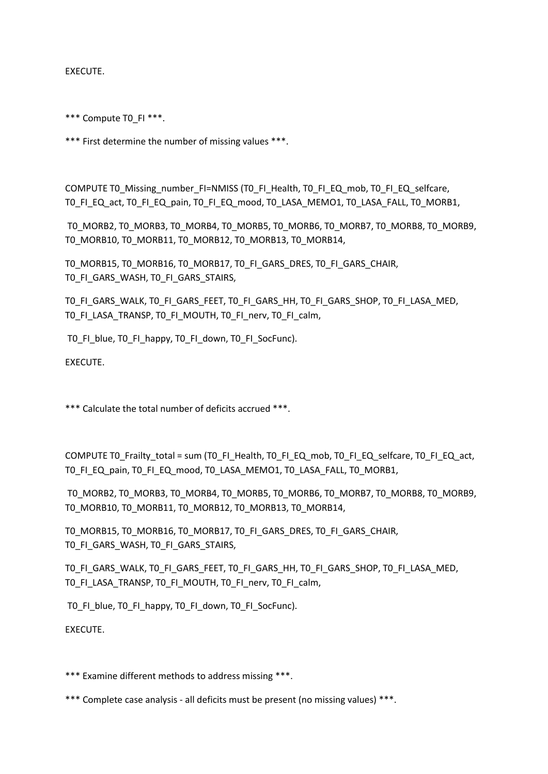EXECUTE.

\*\*\* Compute T0\_FI \*\*\*.

\*\*\* First determine the number of missing values \*\*\*.

COMPUTE TO Missing number FI=NMISS (TO FI\_Health, TO FI\_EQ\_mob, TO FI\_EQ\_selfcare, T0\_FI\_EQ\_act, T0\_FI\_EQ\_pain, T0\_FI\_EQ\_mood, T0\_LASA\_MEMO1, T0\_LASA\_FALL, T0\_MORB1,

T0\_MORB2, T0\_MORB3, T0\_MORB4, T0\_MORB5, T0\_MORB6, T0\_MORB7, T0\_MORB8, T0\_MORB9, T0\_MORB10, T0\_MORB11, T0\_MORB12, T0\_MORB13, T0\_MORB14,

T0\_MORB15, T0\_MORB16, T0\_MORB17, T0\_FI\_GARS\_DRES, T0\_FI\_GARS\_CHAIR, TO FI\_GARS\_WASH, TO FI\_GARS\_STAIRS,

T0\_FI\_GARS\_WALK, T0\_FI\_GARS\_FEET, T0\_FI\_GARS\_HH, T0\_FI\_GARS\_SHOP, T0\_FI\_LASA\_MED, T0\_FI\_LASA\_TRANSP, T0\_FI\_MOUTH, T0\_FI\_nerv, T0\_FI\_calm,

T0\_FI\_blue, T0\_FI\_happy, T0\_FI\_down, T0\_FI\_SocFunc).

EXECUTE.

\*\*\* Calculate the total number of deficits accrued \*\*\*.

COMPUTE T0\_Frailty\_total = sum (T0\_FI\_Health, T0\_FI\_EQ\_mob, T0\_FI\_EQ\_selfcare, T0\_FI\_EQ\_act, T0\_FI\_EQ\_pain, T0\_FI\_EQ\_mood, T0\_LASA\_MEMO1, T0\_LASA\_FALL, T0\_MORB1,

T0\_MORB2, T0\_MORB3, T0\_MORB4, T0\_MORB5, T0\_MORB6, T0\_MORB7, T0\_MORB8, T0\_MORB9, T0\_MORB10, T0\_MORB11, T0\_MORB12, T0\_MORB13, T0\_MORB14,

T0\_MORB15, T0\_MORB16, T0\_MORB17, T0\_FI\_GARS\_DRES, T0\_FI\_GARS\_CHAIR, T0\_FI\_GARS\_WASH, T0\_FI\_GARS\_STAIRS,

T0\_FI\_GARS\_WALK, T0\_FI\_GARS\_FEET, T0\_FI\_GARS\_HH, T0\_FI\_GARS\_SHOP, T0\_FI\_LASA\_MED, TO FI LASA TRANSP, TO FI\_MOUTH, TO FI\_nerv, TO FI\_calm,

TO FI\_blue, TO FI\_happy, TO FI\_down, TO FI\_SocFunc).

EXECUTE.

\*\*\* Examine different methods to address missing \*\*\*.

\*\*\* Complete case analysis - all deficits must be present (no missing values) \*\*\*.